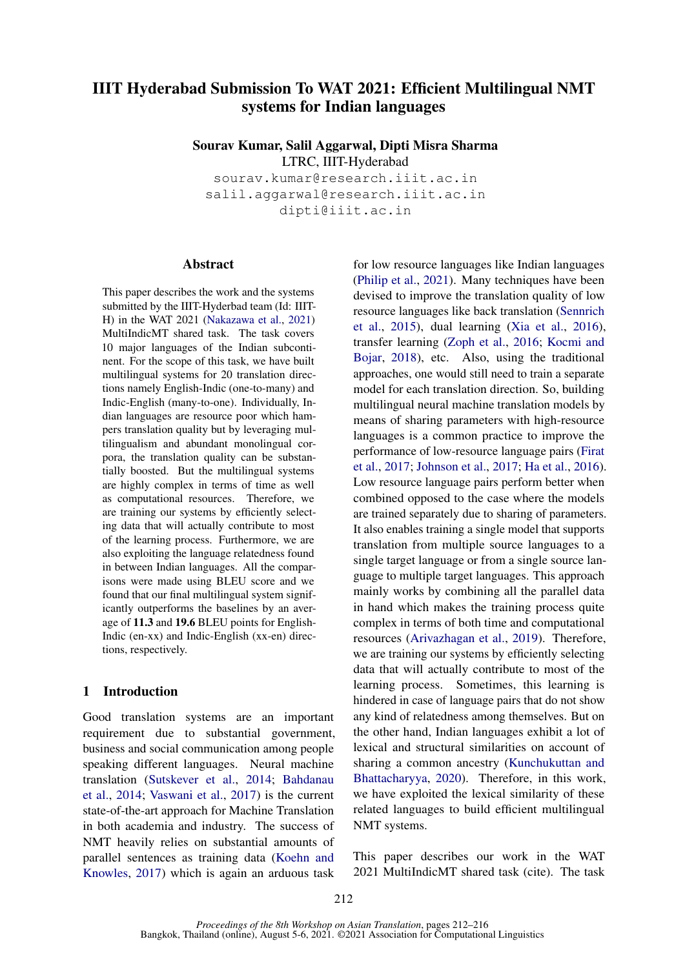# IIIT Hyderabad Submission To WAT 2021: Efficient Multilingual NMT systems for Indian languages

Sourav Kumar, Salil Aggarwal, Dipti Misra Sharma

LTRC, IIIT-Hyderabad

sourav.kumar@research.iiit.ac.in salil.aggarwal@research.iiit.ac.in dipti@iiit.ac.in

# **Abstract**

This paper describes the work and the systems submitted by the IIIT-Hyderbad team (Id: IIIT-H) in the WAT 2021 [\(Nakazawa et al.,](#page-4-0) [2021\)](#page-4-0) MultiIndicMT shared task. The task covers 10 major languages of the Indian subcontinent. For the scope of this task, we have built multilingual systems for 20 translation directions namely English-Indic (one-to-many) and Indic-English (many-to-one). Individually, Indian languages are resource poor which hampers translation quality but by leveraging multilingualism and abundant monolingual corpora, the translation quality can be substantially boosted. But the multilingual systems are highly complex in terms of time as well as computational resources. Therefore, we are training our systems by efficiently selecting data that will actually contribute to most of the learning process. Furthermore, we are also exploiting the language relatedness found in between Indian languages. All the comparisons were made using BLEU score and we found that our final multilingual system significantly outperforms the baselines by an average of 11.3 and 19.6 BLEU points for English-Indic (en-xx) and Indic-English (xx-en) directions, respectively.

# 1 Introduction

Good translation systems are an important requirement due to substantial government, business and social communication among people speaking different languages. Neural machine translation [\(Sutskever et al.,](#page-4-1) [2014;](#page-4-1) [Bahdanau](#page-3-0) [et al.,](#page-3-0) [2014;](#page-3-0) [Vaswani et al.,](#page-4-2) [2017\)](#page-4-2) is the current state-of-the-art approach for Machine Translation in both academia and industry. The success of NMT heavily relies on substantial amounts of parallel sentences as training data [\(Koehn and](#page-4-3) [Knowles,](#page-4-3) [2017\)](#page-4-3) which is again an arduous task

for low resource languages like Indian languages [\(Philip et al.,](#page-4-4) [2021\)](#page-4-4). Many techniques have been devised to improve the translation quality of low resource languages like back translation [\(Sennrich](#page-4-5) [et al.,](#page-4-5) [2015\)](#page-4-5), dual learning [\(Xia et al.,](#page-4-6) [2016\)](#page-4-6), transfer learning [\(Zoph et al.,](#page-4-7) [2016;](#page-4-7) [Kocmi and](#page-4-8) [Bojar,](#page-4-8) [2018\)](#page-4-8), etc. Also, using the traditional approaches, one would still need to train a separate model for each translation direction. So, building multilingual neural machine translation models by means of sharing parameters with high-resource languages is a common practice to improve the performance of low-resource language pairs [\(Firat](#page-3-1) [et al.,](#page-3-1) [2017;](#page-3-1) [Johnson et al.,](#page-3-2) [2017;](#page-3-2) [Ha et al.,](#page-3-3) [2016\)](#page-3-3). Low resource language pairs perform better when combined opposed to the case where the models are trained separately due to sharing of parameters. It also enables training a single model that supports translation from multiple source languages to a single target language or from a single source language to multiple target languages. This approach mainly works by combining all the parallel data in hand which makes the training process quite complex in terms of both time and computational resources [\(Arivazhagan et al.,](#page-3-4) [2019\)](#page-3-4). Therefore, we are training our systems by efficiently selecting data that will actually contribute to most of the learning process. Sometimes, this learning is hindered in case of language pairs that do not show any kind of relatedness among themselves. But on the other hand, Indian languages exhibit a lot of lexical and structural similarities on account of sharing a common ancestry [\(Kunchukuttan and](#page-4-9) [Bhattacharyya,](#page-4-9) [2020\)](#page-4-9). Therefore, in this work, we have exploited the lexical similarity of these related languages to build efficient multilingual NMT systems.

This paper describes our work in the WAT 2021 MultiIndicMT shared task (cite). The task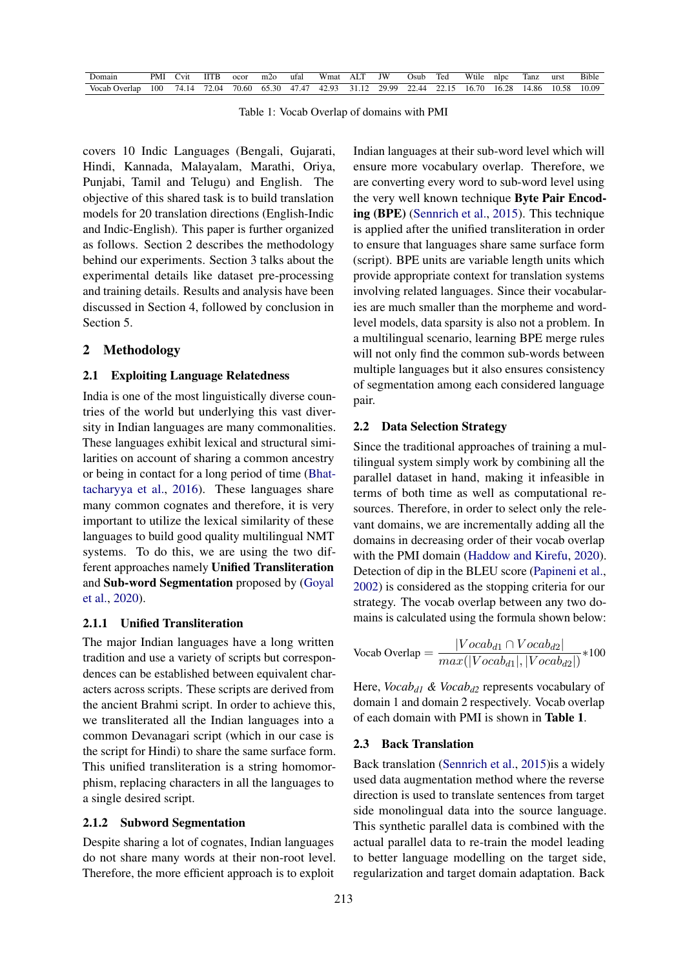| Domain        | PMI | Vit   | IITB  | ocor  | m20         | ufal | Wmat  | AL.   | ΙW    | Osub  | Ted  | Wtile | nlpc  | Tanz  | urst  | <b>Bible</b> |
|---------------|-----|-------|-------|-------|-------------|------|-------|-------|-------|-------|------|-------|-------|-------|-------|--------------|
| Vocab Overlap | 100 | 74.14 | 72.04 | 70.60 | 65.30 47.47 |      | 42.93 | 31.12 | 29.99 | 22.44 | 2215 | 16.70 | 16.28 | 14.86 | 10.58 | 10.09        |

Table 1: Vocab Overlap of domains with PMI

covers 10 Indic Languages (Bengali, Gujarati, Hindi, Kannada, Malayalam, Marathi, Oriya, Punjabi, Tamil and Telugu) and English. The objective of this shared task is to build translation models for 20 translation directions (English-Indic and Indic-English). This paper is further organized as follows. Section 2 describes the methodology behind our experiments. Section 3 talks about the experimental details like dataset pre-processing and training details. Results and analysis have been discussed in Section 4, followed by conclusion in Section 5.

### 2 Methodology

#### 2.1 Exploiting Language Relatedness

India is one of the most linguistically diverse countries of the world but underlying this vast diversity in Indian languages are many commonalities. These languages exhibit lexical and structural similarities on account of sharing a common ancestry or being in contact for a long period of time [\(Bhat](#page-3-5)[tacharyya et al.,](#page-3-5) [2016\)](#page-3-5). These languages share many common cognates and therefore, it is very important to utilize the lexical similarity of these languages to build good quality multilingual NMT systems. To do this, we are using the two different approaches namely Unified Transliteration and Sub-word Segmentation proposed by [\(Goyal](#page-3-6) [et al.,](#page-3-6) [2020\)](#page-3-6).

# 2.1.1 Unified Transliteration

The major Indian languages have a long written tradition and use a variety of scripts but correspondences can be established between equivalent characters across scripts. These scripts are derived from the ancient Brahmi script. In order to achieve this, we transliterated all the Indian languages into a common Devanagari script (which in our case is the script for Hindi) to share the same surface form. This unified transliteration is a string homomorphism, replacing characters in all the languages to a single desired script.

### 2.1.2 Subword Segmentation

Despite sharing a lot of cognates, Indian languages do not share many words at their non-root level. Therefore, the more efficient approach is to exploit

Indian languages at their sub-word level which will ensure more vocabulary overlap. Therefore, we are converting every word to sub-word level using the very well known technique Byte Pair Encoding (BPE) [\(Sennrich et al.,](#page-4-5) [2015\)](#page-4-5). This technique is applied after the unified transliteration in order to ensure that languages share same surface form (script). BPE units are variable length units which provide appropriate context for translation systems involving related languages. Since their vocabularies are much smaller than the morpheme and wordlevel models, data sparsity is also not a problem. In a multilingual scenario, learning BPE merge rules will not only find the common sub-words between multiple languages but it also ensures consistency of segmentation among each considered language pair.

#### 2.2 Data Selection Strategy

Since the traditional approaches of training a multilingual system simply work by combining all the parallel dataset in hand, making it infeasible in terms of both time as well as computational resources. Therefore, in order to select only the relevant domains, we are incrementally adding all the domains in decreasing order of their vocab overlap with the PMI domain [\(Haddow and Kirefu,](#page-3-7) [2020\)](#page-3-7). Detection of dip in the BLEU score [\(Papineni et al.,](#page-4-10) [2002\)](#page-4-10) is considered as the stopping criteria for our strategy. The vocab overlap between any two domains is calculated using the formula shown below:

$$
Vocabulary = \frac{|Vocabulary_1 \cap Vocabulary_2|}{max(|Vocabulary_1|, |Vocabulary_2|)} * 100
$$

Here, *Vocabd1 & Vocabd2* represents vocabulary of domain 1 and domain 2 respectively. Vocab overlap of each domain with PMI is shown in Table 1.

# 2.3 Back Translation

Back translation [\(Sennrich et al.,](#page-4-5) [2015\)](#page-4-5)is a widely used data augmentation method where the reverse direction is used to translate sentences from target side monolingual data into the source language. This synthetic parallel data is combined with the actual parallel data to re-train the model leading to better language modelling on the target side, regularization and target domain adaptation. Back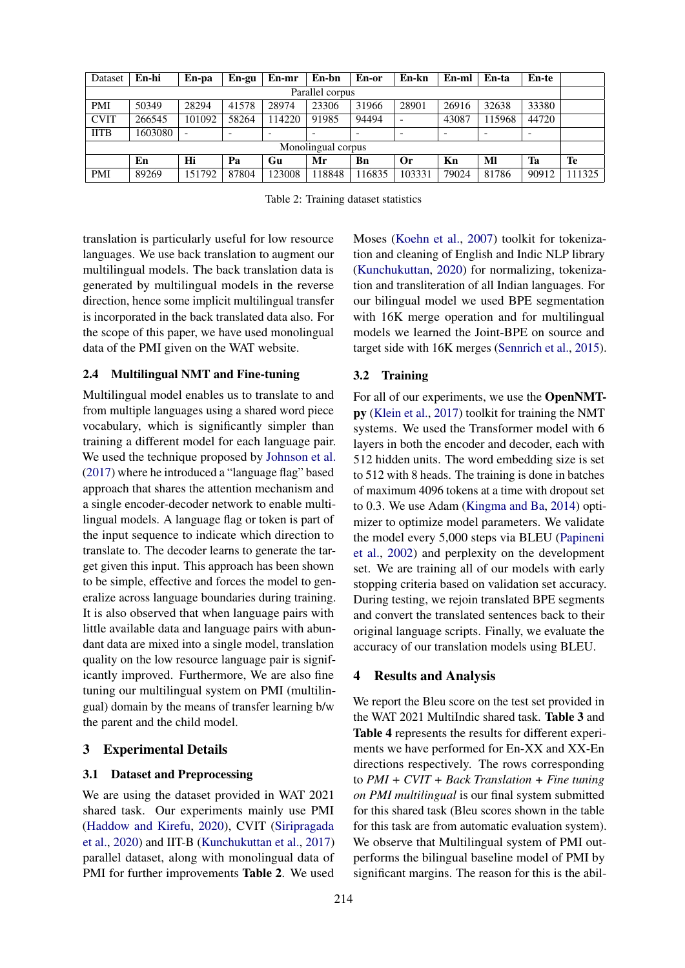| Dataset            | En-hi   | En-pa  | En-gu | En-mr  | En-bn  | En-or | En-kn    | En-ml | En-ta  | En-te |       |
|--------------------|---------|--------|-------|--------|--------|-------|----------|-------|--------|-------|-------|
| Parallel corpus    |         |        |       |        |        |       |          |       |        |       |       |
| <b>PMI</b>         | 50349   | 28294  | 41578 | 28974  | 23306  | 31966 | 28901    | 26916 | 32638  | 33380 |       |
| <b>CVIT</b>        | 266545  | 101092 | 58264 | 114220 | 91985  | 94494 |          | 43087 | 115968 | 44720 |       |
| <b>IITB</b>        | 1603080 |        |       |        |        |       |          |       |        | -     |       |
| Monolingual corpus |         |        |       |        |        |       |          |       |        |       |       |
|                    | En      | Hi     | Pa    | Gu     | Mr     | Bn    | $\alpha$ | Kn    | Ml     | Ta    | Te    |
| <b>PMI</b>         | 89269   | 151792 | 87804 | 123008 | 118848 | 16835 | 103331   | 79024 | 81786  | 90912 | 11325 |

Table 2: Training dataset statistics

translation is particularly useful for low resource languages. We use back translation to augment our multilingual models. The back translation data is generated by multilingual models in the reverse direction, hence some implicit multilingual transfer is incorporated in the back translated data also. For the scope of this paper, we have used monolingual data of the PMI given on the WAT website.

#### 2.4 Multilingual NMT and Fine-tuning

Multilingual model enables us to translate to and from multiple languages using a shared word piece vocabulary, which is significantly simpler than training a different model for each language pair. We used the technique proposed by [Johnson et al.](#page-3-2) [\(2017\)](#page-3-2) where he introduced a "language flag" based approach that shares the attention mechanism and a single encoder-decoder network to enable multilingual models. A language flag or token is part of the input sequence to indicate which direction to translate to. The decoder learns to generate the target given this input. This approach has been shown to be simple, effective and forces the model to generalize across language boundaries during training. It is also observed that when language pairs with little available data and language pairs with abundant data are mixed into a single model, translation quality on the low resource language pair is significantly improved. Furthermore, We are also fine tuning our multilingual system on PMI (multilingual) domain by the means of transfer learning b/w the parent and the child model.

#### 3 Experimental Details

## 3.1 Dataset and Preprocessing

We are using the dataset provided in WAT 2021 shared task. Our experiments mainly use PMI [\(Haddow and Kirefu,](#page-3-7) [2020\)](#page-3-7), CVIT [\(Siripragada](#page-4-11) [et al.,](#page-4-11) [2020\)](#page-4-11) and IIT-B [\(Kunchukuttan et al.,](#page-4-12) [2017\)](#page-4-12) parallel dataset, along with monolingual data of PMI for further improvements Table 2. We used

Moses [\(Koehn et al.,](#page-4-13) [2007\)](#page-4-13) toolkit for tokenization and cleaning of English and Indic NLP library [\(Kunchukuttan,](#page-4-14) [2020\)](#page-4-14) for normalizing, tokenization and transliteration of all Indian languages. For our bilingual model we used BPE segmentation with 16K merge operation and for multilingual models we learned the Joint-BPE on source and target side with 16K merges [\(Sennrich et al.,](#page-4-5) [2015\)](#page-4-5).

# 3.2 Training

For all of our experiments, we use the OpenNMTpy [\(Klein et al.,](#page-4-15) [2017\)](#page-4-15) toolkit for training the NMT systems. We used the Transformer model with 6 layers in both the encoder and decoder, each with 512 hidden units. The word embedding size is set to 512 with 8 heads. The training is done in batches of maximum 4096 tokens at a time with dropout set to 0.3. We use Adam [\(Kingma and Ba,](#page-4-16) [2014\)](#page-4-16) optimizer to optimize model parameters. We validate the model every 5,000 steps via BLEU [\(Papineni](#page-4-10) [et al.,](#page-4-10) [2002\)](#page-4-10) and perplexity on the development set. We are training all of our models with early stopping criteria based on validation set accuracy. During testing, we rejoin translated BPE segments and convert the translated sentences back to their original language scripts. Finally, we evaluate the accuracy of our translation models using BLEU.

#### 4 Results and Analysis

We report the Bleu score on the test set provided in the WAT 2021 MultiIndic shared task. Table 3 and Table 4 represents the results for different experiments we have performed for En-XX and XX-En directions respectively. The rows corresponding to *PMI + CVIT + Back Translation + Fine tuning on PMI multilingual* is our final system submitted for this shared task (Bleu scores shown in the table for this task are from automatic evaluation system). We observe that Multilingual system of PMI outperforms the bilingual baseline model of PMI by significant margins. The reason for this is the abil-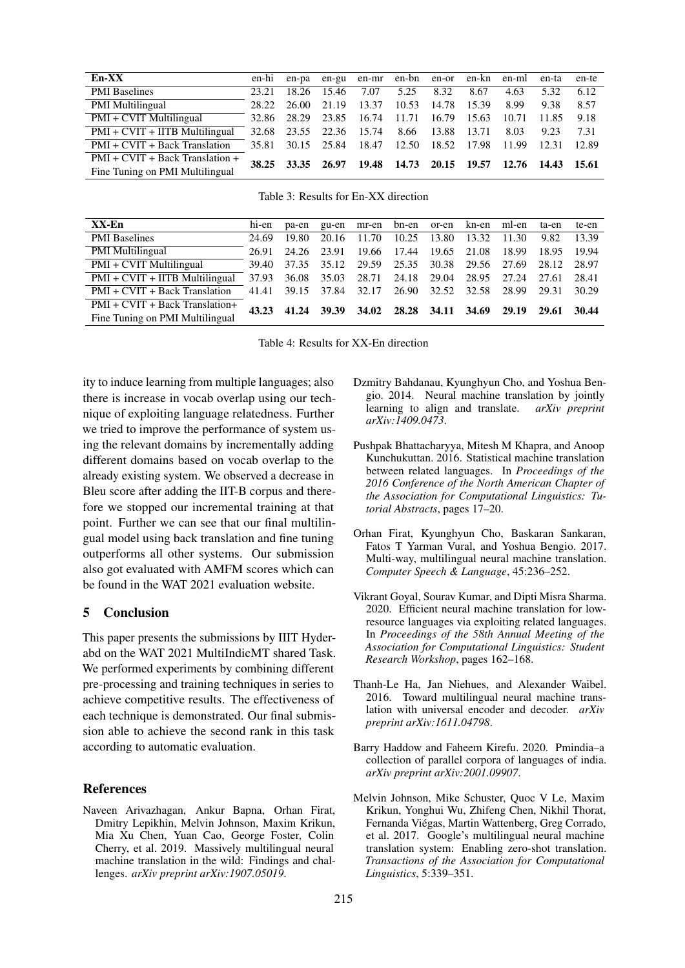| En-XX                            |       |       |       | en-hi en-pa en-gu en-mr en-bn en-or en-kn en-ml en-ta |       |             |       |       |       | en-te   |
|----------------------------------|-------|-------|-------|-------------------------------------------------------|-------|-------------|-------|-------|-------|---------|
| <b>PMI</b> Baselines             | 23.21 | 18.26 | 15.46 | 7.07                                                  | 5.25  | 8.32        | 8.67  | 4.63  | 5.32  | 6.12    |
| <b>PMI Multilingual</b>          | 28.22 | 26.00 | 21.19 | 13.37                                                 | 10.53 | 14.78 15.39 |       | 8.99  | 9.38  | 8.57    |
| PMI + CVIT Multilingual          | 32.86 | 28.29 | 23.85 | 16.74                                                 | 11.71 | 16.79       | 15.63 | 10.71 | 11.85 | 9.18    |
| $PMI + CVIT + IITB$ Multilingual | 32.68 | 23.55 | 22.36 | 15.74                                                 | 8.66  | 13.88 13.71 |       | 8.03  | 9.23  | 7.31    |
| $PMI + CVIT + Back Translation$  | 35.81 | 30.15 | 25.84 | 18.47                                                 | 12.50 | 18.52 17.98 |       | 11.99 | 12.31 | 12.89   |
| PMI + CVIT + Back Translation +  |       |       |       | 38.25 33.35 26.97 19.48 14.73 20.15 19.57 12.76 14.43 |       |             |       |       |       | - 15.61 |
| Fine Tuning on PMI Multilingual  |       |       |       |                                                       |       |             |       |       |       |         |

| Table 3: Results for En-XX direction |
|--------------------------------------|
|--------------------------------------|

| XX-En                                | hi-en | pa-en | gu-en       |        | mr-en bn-en or-en |       |             | kn-en ml-en | ta-en | te-en |
|--------------------------------------|-------|-------|-------------|--------|-------------------|-------|-------------|-------------|-------|-------|
| <b>PMI</b> Baselines                 | 24.69 | 19.80 | 20.16       | 11.70  | 10.25             | 13.80 | 13.32       | 11.30       | 9.82  | 13.39 |
| <b>PMI</b> Multilingual              | 26.91 | 24.26 | 23.91       | -19.66 | 17.44             | 19.65 | 21.08       | 18.99       | 18.95 | 19.94 |
| $\overline{PMI + CVIT}$ Multilingual | 39.40 | 37.35 | 35.12       | 29.59  | 25.35             | 30.38 | 29.56       | 27.69       | 28.12 | 28.97 |
| $PMI + CVIT + IITB$ Multilingual     | 37.93 | 36.08 | 35.03       | 28.71  | 24.18             | 29.04 | 28.95 27.24 |             | 27.61 | 28.41 |
| $PMI + CVIT + Back Translation$      | 41.41 | 39.15 | 37.84       | 32.17  | 26.90             | 32.52 | 32.58       | 28.99       | 29.31 | 30.29 |
| $PMI + CVIT + Back Translation+$     | 43.23 |       | 41.24 39.39 | 34.02  | 28.28             | 34.11 | 34.69       | 29.19       | 29.61 | 30.44 |
| Fine Tuning on PMI Multilingual      |       |       |             |        |                   |       |             |             |       |       |

Table 4: Results for XX-En direction

ity to induce learning from multiple languages; also there is increase in vocab overlap using our technique of exploiting language relatedness. Further we tried to improve the performance of system using the relevant domains by incrementally adding different domains based on vocab overlap to the already existing system. We observed a decrease in Bleu score after adding the IIT-B corpus and therefore we stopped our incremental training at that point. Further we can see that our final multilingual model using back translation and fine tuning outperforms all other systems. Our submission also got evaluated with AMFM scores which can be found in the WAT 2021 evaluation website.

#### $\overline{5}$ **Conclusion**

This paper presents the submissions by IIIT Hyderabd on the WAT 2021 MultiIndicMT shared Task. We performed experiments by combining different pre-processing and training techniques in series to achieve competitive results. The effectiveness of each technique is demonstrated. Our final submission able to achieve the second rank in this task according to automatic evaluation.

# **References**

<span id="page-3-4"></span>Naveen Arivazhagan, Ankur Bapna, Orhan Firat, Dmitry Lepikhin, Melvin Johnson, Maxim Krikun, Mia Xu Chen, Yuan Cao, George Foster, Colin Cherry, et al. 2019. Massively multilingual neural machine translation in the wild: Findings and challenges. arXiv preprint arXiv:1907.05019.

- <span id="page-3-0"></span>Dzmitry Bahdanau, Kyunghyun Cho, and Yoshua Bengio. 2014. Neural machine translation by jointly learning to align and translate. arXiv preprint arXiv:1409.0473.
- <span id="page-3-5"></span>Pushpak Bhattacharyya, Mitesh M Khapra, and Anoop Kunchukuttan. 2016. Statistical machine translation between related languages. In Proceedings of the 2016 Conference of the North American Chapter of the Association for Computational Linguistics: Tutorial Abstracts, pages 17-20.
- <span id="page-3-1"></span>Orhan Firat, Kyunghyun Cho, Baskaran Sankaran, Fatos T Yarman Vural, and Yoshua Bengio. 2017. Multi-way, multilingual neural machine translation. Computer Speech & Language, 45:236-252.
- <span id="page-3-6"></span>Vikrant Goyal, Sourav Kumar, and Dipti Misra Sharma. 2020. Efficient neural machine translation for lowresource languages via exploiting related languages. In Proceedings of the 58th Annual Meeting of the **Association for Computational Linguistics: Student** Research Workshop, pages 162-168.
- <span id="page-3-3"></span>Thanh-Le Ha, Jan Niehues, and Alexander Waibel. 2016. Toward multilingual neural machine translation with universal encoder and decoder. arXiv preprint arXiv:1611.04798.
- <span id="page-3-7"></span>Barry Haddow and Faheem Kirefu. 2020. Pmindia-a collection of parallel corpora of languages of india. arXiv preprint arXiv:2001.09907.
- <span id="page-3-2"></span>Melvin Johnson, Mike Schuster, Quoc V Le, Maxim Krikun, Yonghui Wu, Zhifeng Chen, Nikhil Thorat, Fernanda Viégas, Martin Wattenberg, Greg Corrado, et al. 2017. Google's multilingual neural machine translation system: Enabling zero-shot translation. Transactions of the Association for Computational Linguistics, 5:339-351.